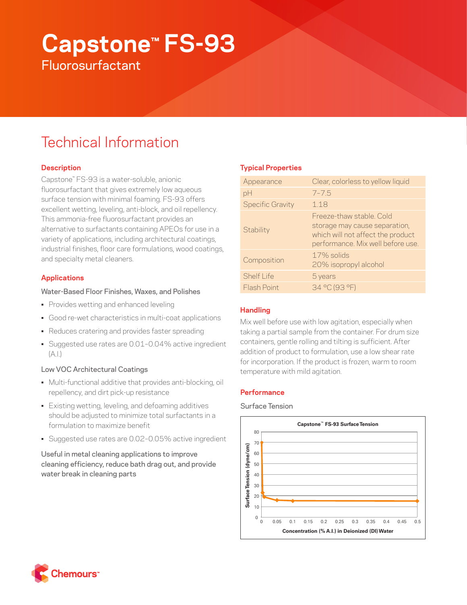# **Capstone™ FS-93 Fluorosurfactant**

# Technical Information

# **Description**

Capstone™ FS-93 is a water-soluble, anionic fluorosurfactant that gives extremely low aqueous surface tension with minimal foaming. FS-93 offers excellent wetting, leveling, anti-block, and oil repellency. This ammonia-free fluorosurfactant provides an alternative to surfactants containing APEOs for use in a variety of applications, including architectural coatings, industrial finishes, floor care formulations, wood coatings, and specialty metal cleaners.

# **Applications**

### Water-Based Floor Finishes, Waxes, and Polishes

- Provides wetting and enhanced leveling
- Good re-wet characteristics in multi-coat applications
- Reduces cratering and provides faster spreading
- Suggested use rates are 0.01–0.04% active ingredient  $(A.1)$

# Low VOC Architectural Coatings

- Multi-functional additive that provides anti-blocking, oil repellency, and dirt pick-up resistance
- Existing wetting, leveling, and defoaming additives should be adjusted to minimize total surfactants in a formulation to maximize benefit
- Suggested use rates are 0.02–0.05% active ingredient

Useful in metal cleaning applications to improve cleaning efficiency, reduce bath drag out, and provide water break in cleaning parts

# **Typical Properties**

| Appearance              | Clear, colorless to yellow liquid                                                                                                   |
|-------------------------|-------------------------------------------------------------------------------------------------------------------------------------|
| pH                      | $7 - 7.5$                                                                                                                           |
| <b>Specific Gravity</b> | 1.18                                                                                                                                |
| Stability               | Freeze-thaw stable, Cold<br>storage may cause separation,<br>which will not affect the product<br>performance. Mix well before use. |
| Composition             | 17% solids<br>20% isopropyl alcohol                                                                                                 |
| Shelf I ife             | 5 years                                                                                                                             |
| Flash Point             | 34 °C (93 °F)                                                                                                                       |
|                         |                                                                                                                                     |

# **Handling**

Mix well before use with low agitation, especially when taking a partial sample from the container. For drum size containers, gentle rolling and tilting is sufficient. After addition of product to formulation, use a low shear rate for incorporation. If the product is frozen, warm to room temperature with mild agitation.

#### **Performance**

Surface Tension